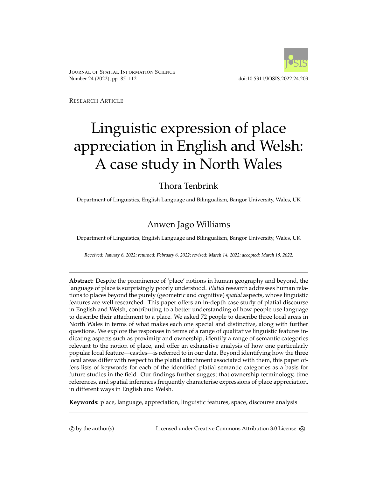

JOURNAL OF SPATIAL INFORMATION SCIENCE Number 24 (2022), pp. 85–112 doi:10.5311/JOSIS.2022.24.209

RESEARCH ARTICLE

# Linguistic expression of place appreciation in English and Welsh: A case study in North Wales

# Thora Tenbrink

Department of Linguistics, English Language and Bilingualism, Bangor University, Wales, UK

# Anwen Jago Williams

Department of Linguistics, English Language and Bilingualism, Bangor University, Wales, UK

Received: January 6, 2022; returned: February 6, 2022; revised: March 14, 2022; accepted: March 15, 2022.

**Abstract:** Despite the prominence of 'place' notions in human geography and beyond, the language of place is surprisingly poorly understood. *Platial* research addresses human relations to places beyond the purely (geometric and cognitive) *spatial* aspects, whose linguistic features are well researched. This paper offers an in-depth case study of platial discourse in English and Welsh, contributing to a better understanding of how people use language to describe their attachment to a place. We asked 72 people to describe three local areas in North Wales in terms of what makes each one special and distinctive, along with further questions. We explore the responses in terms of a range of qualitative linguistic features indicating aspects such as proximity and ownership, identify a range of semantic categories relevant to the notion of place, and offer an exhaustive analysis of how one particularly popular local feature—castles—is referred to in our data. Beyond identifying how the three local areas differ with respect to the platial attachment associated with them, this paper offers lists of keywords for each of the identified platial semantic categories as a basis for future studies in the field. Our findings further suggest that ownership terminology, time references, and spatial inferences frequently characterise expressions of place appreciation, in different ways in English and Welsh.

**Keywords:** place, language, appreciation, linguistic features, space, discourse analysis

(c) by the author(s) Licensed under Creative Commons Attribution 3.0 License  $\circledcirc$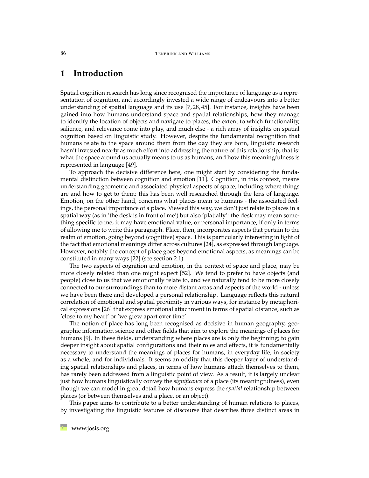# **1 Introduction**

Spatial cognition research has long since recognised the importance of language as a representation of cognition, and accordingly invested a wide range of endeavours into a better understanding of spatial language and its use [\[7,](#page-22-0) [28,](#page-23-0) [45\]](#page-24-0). For instance, insights have been gained into how humans understand space and spatial relationships, how they manage to identify the location of objects and navigate to places, the extent to which functionality, salience, and relevance come into play, and much else - a rich array of insights on spatial cognition based on linguistic study. However, despite the fundamental recognition that humans relate to the space around them from the day they are born, linguistic research hasn't invested nearly as much effort into addressing the nature of this relationship, that is: what the space around us actually means to us as humans, and how this meaningfulness is represented in language [\[49\]](#page-25-0).

To approach the decisive difference here, one might start by considering the fundamental distinction between cognition and emotion [\[11\]](#page-22-1). Cognition, in this context, means understanding geometric and associated physical aspects of space, including where things are and how to get to them; this has been well researched through the lens of language. Emotion, on the other hand, concerns what places mean to humans - the associated feelings, the personal importance of a place. Viewed this way, we don't just relate to places in a spatial way (as in 'the desk is in front of me') but also 'platially': the desk may mean something specific to me, it may have emotional value, or personal importance, if only in terms of allowing me to write this paragraph. Place, then, incorporates aspects that pertain to the realm of emotion, going beyond (cognitive) space. This is particularly interesting in light of the fact that emotional meanings differ across cultures [\[24\]](#page-23-1), as expressed through language. However, notably the concept of place goes beyond emotional aspects, as meanings can be constituted in many ways [\[22\]](#page-23-2) (see section [2.1\)](#page-3-0).

The two aspects of cognition and emotion, in the context of space and place, may be more closely related than one might expect [\[52\]](#page-25-1). We tend to prefer to have objects (and people) close to us that we emotionally relate to, and we naturally tend to be more closely connected to our surroundings than to more distant areas and aspects of the world - unless we have been there and developed a personal relationship. Language reflects this natural correlation of emotional and spatial proximity in various ways, for instance by metaphorical expressions [\[26\]](#page-23-3) that express emotional attachment in terms of spatial distance, such as 'close to my heart' or 'we grew apart over time'.

The notion of place has long been recognised as decisive in human geography, geographic information science and other fields that aim to explore the meanings of places for humans [\[9\]](#page-22-2). In these fields, understanding where places are is only the beginning; to gain deeper insight about spatial configurations and their roles and effects, it is fundamentally necessary to understand the meanings of places for humans, in everyday life, in society as a whole, and for individuals. It seems an oddity that this deeper layer of understanding spatial relationships and places, in terms of how humans attach themselves to them, has rarely been addressed from a linguistic point of view. As a result, it is largely unclear just how humans linguistically convey the *significance* of a place (its meaningfulness), even though we can model in great detail how humans express the *spatial* relationship between places (or between themselves and a place, or an object).

This paper aims to contribute to a better understanding of human relations to places, by investigating the linguistic features of discourse that describes three distinct areas in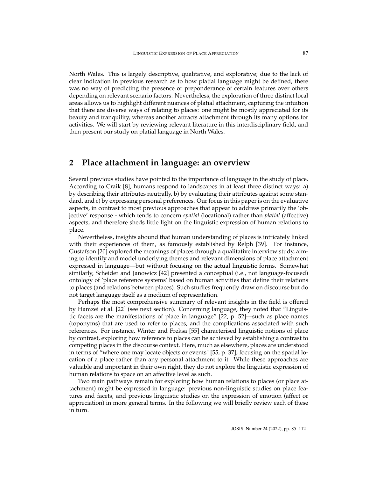North Wales. This is largely descriptive, qualitative, and explorative; due to the lack of clear indication in previous research as to how platial language might be defined, there was no way of predicting the presence or preponderance of certain features over others depending on relevant scenario factors. Nevertheless, the exploration of three distinct local areas allows us to highlight different nuances of platial attachment, capturing the intuition that there are diverse ways of relating to places: one might be mostly appreciated for its beauty and tranquility, whereas another attracts attachment through its many options for activities. We will start by reviewing relevant literature in this interdisciplinary field, and then present our study on platial language in North Wales.

# **2 Place attachment in language: an overview**

Several previous studies have pointed to the importance of language in the study of place. According to Craik [\[8\]](#page-22-3), humans respond to landscapes in at least three distinct ways: a) by describing their attributes neutrally, b) by evaluating their attributes against some standard, and c) by expressing personal preferences. Our focus in this paper is on the evaluative aspects, in contrast to most previous approaches that appear to address primarily the 'objective' response - which tends to concern *spatial* (locational) rather than *platial* (affective) aspects, and therefore sheds little light on the linguistic expression of human relations to place.

Nevertheless, insights abound that human understanding of places is intricately linked with their experiences of them, as famously established by Relph [\[39\]](#page-24-1). For instance, Gustafson [\[20\]](#page-23-4) explored the meanings of places through a qualitative interview study, aiming to identify and model underlying themes and relevant dimensions of place attachment expressed in language—but without focusing on the actual linguistic forms. Somewhat similarly, Scheider and Janowicz [\[42\]](#page-24-2) presented a conceptual (i.e., not language-focused) ontology of 'place reference systems' based on human activities that define their relations to places (and relations between places). Such studies frequently draw on discourse but do not target language itself as a medium of representation.

Perhaps the most comprehensive summary of relevant insights in the field is offered by Hamzei et al. [\[22\]](#page-23-2) (see next section). Concerning language, they noted that "Linguistic facets are the manifestations of place in language"  $[22, p. 52]$  $[22, p. 52]$ —such as place names (toponyms) that are used to refer to places, and the complications associated with such references. For instance, Winter and Freksa [\[55\]](#page-25-2) characterised linguistic notions of place by contrast, exploring how reference to places can be achieved by establishing a contrast to competing places in the discourse context. Here, much as elsewhere, places are understood in terms of "where one may locate objects or events" [\[55,](#page-25-2) p. 37], focusing on the spatial location of a place rather than any personal attachment to it. While these approaches are valuable and important in their own right, they do not explore the linguistic expression of human relations to space on an affective level as such.

Two main pathways remain for exploring how human relations to places (or place attachment) might be expressed in language: previous non-linguistic studies on place features and facets, and previous linguistic studies on the expression of emotion (affect or appreciation) in more general terms. In the following we will briefly review each of these in turn.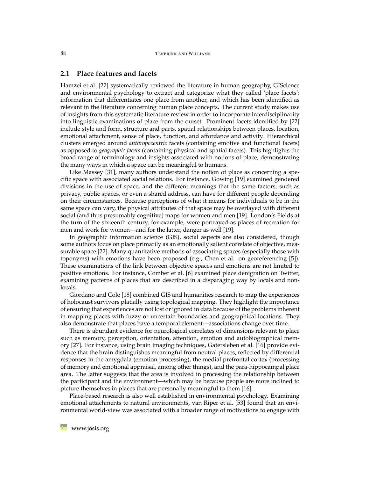## <span id="page-3-0"></span>**2.1 Place features and facets**

Hamzei et al. [\[22\]](#page-23-2) systematically reviewed the literature in human geography, GIScience and environmental psychology to extract and categorize what they called 'place facets': information that differentiates one place from another, and which has been identified as relevant in the literature concerning human place concepts. The current study makes use of insights from this systematic literature review in order to incorporate interdisciplinarity into linguistic examinations of place from the outset. Prominent facets identified by [\[22\]](#page-23-2) include style and form, structure and parts, spatial relationships between places, location, emotional attachment, sense of place, function, and affordance and activity. Hierarchical clusters emerged around *anthropocentric* facets (containing emotive and functional facets) as opposed to *geographic facets* (containing physical and spatial facets). This highlights the broad range of terminology and insights associated with notions of place, demonstrating the many ways in which a space can be meaningful to humans.

Like Massey [\[31\]](#page-24-3), many authors understand the notion of place as concerning a specific space with associated social relations. For instance, Gowing [\[19\]](#page-23-5) examined gendered divisions in the use of space, and the different meanings that the same factors, such as privacy, public spaces, or even a shared address, can have for different people depending on their circumstances. Because perceptions of what it means for individuals to be in the same space can vary, the physical attributes of that space may be overlayed with different social (and thus presumably cognitive) maps for women and men [\[19\]](#page-23-5). London's Fields at the turn of the sixteenth century, for example, were portrayed as places of recreation for men and work for women—and for the latter, danger as well [\[19\]](#page-23-5).

In geographic information science (GIS), social aspects are also considered, though some authors focus on place primarily as an emotionally salient correlate of objective, measurable space [\[22\]](#page-23-2). Many quantitative methods of associating spaces (especially those with toponyms) with emotions have been proposed (e.g., Chen et al. on georeferencing [\[5\]](#page-22-4)). These examinations of the link between objective spaces and emotions are not limited to positive emotions. For instance, Comber et al. [\[6\]](#page-22-5) examined place denigration on Twitter, examining patterns of places that are described in a disparaging way by locals and nonlocals.

Giordano and Cole [\[18\]](#page-23-6) combined GIS and humanities research to map the experiences of holocaust survivors platially using topological mapping. They highlight the importance of ensuring that experiences are not lost or ignored in data because of the problems inherent in mapping places with fuzzy or uncertain boundaries and geographical locations. They also demonstrate that places have a temporal element—associations change over time.

There is abundant evidence for neurological correlates of dimensions relevant to place such as memory, perception, orientation, attention, emotion and autobiographical memory [\[27\]](#page-23-7). For instance, using brain imaging techniques, Gatersleben et al. [\[16\]](#page-23-8) provide evidence that the brain distinguishes meaningful from neutral places, reflected by differential responses in the amygdala (emotion processing), the medial prefrontal cortex (processing of memory and emotional appraisal, among other things), and the para-hippocampal place area. The latter suggests that the area is involved in processing the relationship between the participant and the environment—which may be because people are more inclined to picture themselves in places that are personally meaningful to them [\[16\]](#page-23-8).

Place-based research is also well established in environmental psychology. Examining emotional attachments to natural environments, van Riper et al. [\[53\]](#page-25-3) found that an environmental world-view was associated with a broader range of motivations to engage with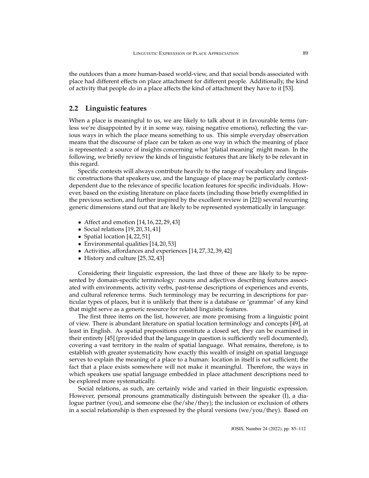the outdoors than a more human-based world-view, and that social bonds associated with place had different effects on place attachment for different people. Additionally, the kind of activity that people do in a place affects the kind of attachment they have to it [\[53\]](#page-25-3).

### <span id="page-4-0"></span>**2.2 Linguistic features**

When a place is meaningful to us, we are likely to talk about it in favourable terms (unless we're disappointed by it in some way, raising negative emotions), reflecting the various ways in which the place means something to us. This simple everyday observation means that the discourse of place can be taken as one way in which the meaning of place is represented: a source of insights concerning what 'platial meaning' might mean. In the following, we briefly review the kinds of linguistic features that are likely to be relevant in this regard.

Specific contexts will always contribute heavily to the range of vocabulary and linguistic constructions that speakers use, and the language of place may be particularly contextdependent due to the relevance of specific location features for specific individuals. However, based on the existing literature on place facets (including those briefly exemplified in the previous section, and further inspired by the excellent review in [\[22\]](#page-23-2)) several recurring generic dimensions stand out that are likely to be represented systematically in language:

- Affect and emotion [\[14,](#page-22-6) [16,](#page-23-8) [22,](#page-23-2) [29,](#page-23-9) [43\]](#page-24-4)
- Social relations [\[19,](#page-23-5) [20,](#page-23-4) [31,](#page-24-3) [41\]](#page-24-5)
- Spatial location [\[4,](#page-22-7)[22,](#page-23-2)[51\]](#page-25-4)
- Environmental qualities [\[14,](#page-22-6) [20,](#page-23-4) [53\]](#page-25-3)
- Activities, affordances and experiences [\[14,](#page-22-6) [27,](#page-23-7) [32,](#page-24-6) [39,](#page-24-1) [42\]](#page-24-2)
- History and culture [\[25,](#page-23-10) [32,](#page-24-6) [43\]](#page-24-4)

Considering their linguistic expression, the last three of these are likely to be represented by domain-specific terminology: nouns and adjectives describing features associated with environments, activity verbs, past-tense descriptions of experiences and events, and cultural reference terms. Such terminology may be recurring in descriptions for particular types of places, but it is unlikely that there is a database or 'grammar' of any kind that might serve as a generic resource for related linguistic features.

The first three items on the list, however, are more promising from a linguistic point of view. There is abundant literature on spatial location terminology and concepts [\[49\]](#page-25-0), at least in English. As spatial prepositions constitute a closed set, they can be examined in their entirety [\[45\]](#page-24-0) (provided that the language in question is sufficiently well documented), covering a vast territory in the realm of spatial language. What remains, therefore, is to establish with greater systematicity how exactly this wealth of insight on spatial language serves to explain the meaning of a place to a human: location in itself is not sufficient; the fact that a place exists somewhere will not make it meaningful. Therefore, the ways in which speakers use spatial language embedded in place attachment descriptions need to be explored more systematically.

Social relations, as such, are certainly wide and varied in their linguistic expression. However, personal pronouns grammatically distinguish between the speaker (I), a dialogue partner (you), and someone else (he/she/they); the inclusion or exclusion of others in a social relationship is then expressed by the plural versions (we/you/they). Based on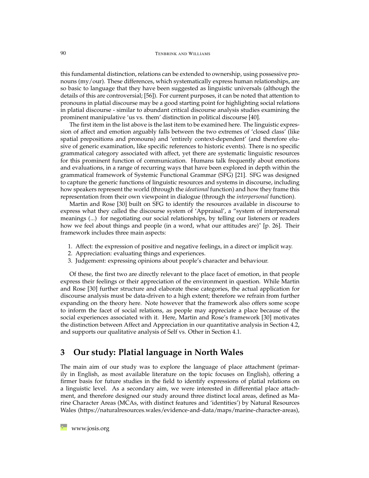this fundamental distinction, relations can be extended to ownership, using possessive pronouns (my/our). These differences, which systematically express human relationships, are so basic to language that they have been suggested as linguistic universals (although the details of this are controversial; [\[56\]](#page-25-5)). For current purposes, it can be noted that attention to pronouns in platial discourse may be a good starting point for highlighting social relations in platial discourse - similar to abundant critical discourse analysis studies examining the prominent manipulative 'us vs. them' distinction in political discourse [\[40\]](#page-24-7).

The first item in the list above is the last item to be examined here. The linguistic expression of affect and emotion arguably falls between the two extremes of 'closed class' (like spatial prepositions and pronouns) and 'entirely context-dependent' (and therefore elusive of generic examination, like specific references to historic events). There is no specific grammatical category associated with affect, yet there are systematic linguistic resources for this prominent function of communication. Humans talk frequently about emotions and evaluations, in a range of recurring ways that have been explored in depth within the grammatical framework of Systemic Functional Grammar (SFG) [\[21\]](#page-23-11). SFG was designed to capture the generic functions of linguistic resources and systems in discourse, including how speakers represent the world (through the *ideational* function) and how they frame this representation from their own viewpoint in dialogue (through the *interpersonal* function).

Martin and Rose [\[30\]](#page-24-8) built on SFG to identify the resources available in discourse to express what they called the discourse system of 'Appraisal', a "system of interpersonal meanings (...) for negotiating our social relationships, by telling our listeners or readers how we feel about things and people (in a word, what our attitudes are)" [p. 26]. Their framework includes three main aspects:

- 1. Affect: the expression of positive and negative feelings, in a direct or implicit way.
- 2. Appreciation: evaluating things and experiences.
- 3. Judgement: expressing opinions about people's character and behaviour.

Of these, the first two are directly relevant to the place facet of emotion, in that people express their feelings or their appreciation of the environment in question. While Martin and Rose [\[30\]](#page-24-8) further structure and elaborate these categories, the actual application for discourse analysis must be data-driven to a high extent; therefore we refrain from further expanding on the theory here. Note however that the framework also offers some scope to inform the facet of social relations, as people may appreciate a place because of the social experiences associated with it. Here, Martin and Rose's framework [\[30\]](#page-24-8) motivates the distinction between Affect and Appreciation in our quantitative analysis in Section [4.2,](#page-10-0) and supports our qualitative analysis of Self vs. Other in Section [4.1.](#page-8-0)

# **3 Our study: Platial language in North Wales**

The main aim of our study was to explore the language of place attachment (primarily in English, as most available literature on the topic focuses on English), offering a firmer basis for future studies in the field to identify expressions of platial relations on a linguistic level. As a secondary aim, we were interested in differential place attachment, and therefore designed our study around three distinct local areas, defined as Marine Character Areas (MCAs, with distinct features and 'identities') by Natural Resources Wales [\(https://naturalresources.wales/evidence-and-data/maps/marine-character-areas\)](https://naturalresources.wales/evidence-and-data/maps/marine-character-areas),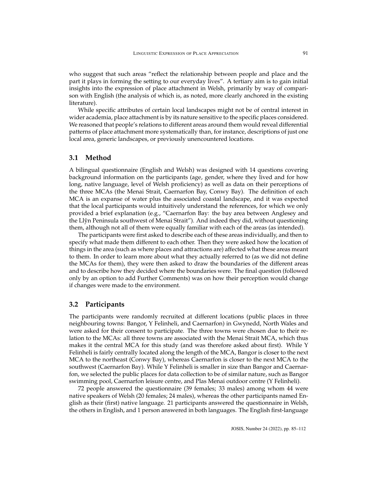who suggest that such areas "reflect the relationship between people and place and the part it plays in forming the setting to our everyday lives". A tertiary aim is to gain initial insights into the expression of place attachment in Welsh, primarily by way of comparison with English (the analysis of which is, as noted, more clearly anchored in the existing literature).

While specific attributes of certain local landscapes might not be of central interest in wider academia, place attachment is by its nature sensitive to the specific places considered. We reasoned that people's relations to different areas around them would reveal differential patterns of place attachment more systematically than, for instance, descriptions of just one local area, generic landscapes, or previously unencountered locations.

## **3.1 Method**

A bilingual questionnaire (English and Welsh) was designed with 14 questions covering background information on the participants (age, gender, where they lived and for how long, native language, level of Welsh proficiency) as well as data on their perceptions of the three MCAs (the Menai Strait, Caernarfon Bay, Conwy Bay). The definition of each MCA is an expanse of water plus the associated coastal landscape, and it was expected that the local participants would intuitively understand the references, for which we only provided a brief explanation (e.g., "Caernarfon Bay: the bay area between Anglesey and the Llyn Peninsula southwest of Menai Strait"). And indeed they did, without questioning ˆ them, although not all of them were equally familiar with each of the areas (as intended).

The participants were first asked to describe each of these areas individually, and then to specify what made them different to each other. Then they were asked how the location of things in the area (such as where places and attractions are) affected what these areas meant to them. In order to learn more about what they actually referred to (as we did not define the MCAs for them), they were then asked to draw the boundaries of the different areas and to describe how they decided where the boundaries were. The final question (followed only by an option to add Further Comments) was on how their perception would change if changes were made to the environment.

#### **3.2 Participants**

The participants were randomly recruited at different locations (public places in three neighbouring towns: Bangor, Y Felinheli, and Caernarfon) in Gwynedd, North Wales and were asked for their consent to participate. The three towns were chosen due to their relation to the MCAs: all three towns are associated with the Menai Strait MCA, which thus makes it the central MCA for this study (and was therefore asked about first). While Y Felinheli is fairly centrally located along the length of the MCA, Bangor is closer to the next MCA to the northeast (Conwy Bay), whereas Caernarfon is closer to the next MCA to the southwest (Caernarfon Bay). While Y Felinheli is smaller in size than Bangor and Caernarfon, we selected the public places for data collection to be of similar nature, such as Bangor swimming pool, Caernarfon leisure centre, and Plas Menai outdoor centre (Y Felinheli).

72 people answered the questionnaire (39 females; 33 males) among whom 44 were native speakers of Welsh (20 females; 24 males), whereas the other participants named English as their (first) native language. 21 participants answered the questionnaire in Welsh, the others in English, and 1 person answered in both languages. The English first-language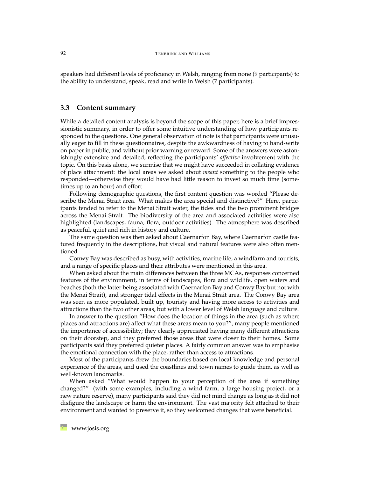speakers had different levels of proficiency in Welsh, ranging from none (9 participants) to the ability to understand, speak, read and write in Welsh (7 participants).

#### <span id="page-7-0"></span>**3.3 Content summary**

While a detailed content analysis is beyond the scope of this paper, here is a brief impressionistic summary, in order to offer some intuitive understanding of how participants responded to the questions. One general observation of note is that participants were unusually eager to fill in these questionnaires, despite the awkwardness of having to hand-write on paper in public, and without prior warning or reward. Some of the answers were astonishingly extensive and detailed, reflecting the participants' *affective* involvement with the topic. On this basis alone, we surmise that we might have succeeded in collating evidence of place attachment: the local areas we asked about *meant* something to the people who responded—otherwise they would have had little reason to invest so much time (sometimes up to an hour) and effort.

Following demographic questions, the first content question was worded "Please describe the Menai Strait area. What makes the area special and distinctive?" Here, participants tended to refer to the Menai Strait water, the tides and the two prominent bridges across the Menai Strait. The biodiversity of the area and associated activities were also highlighted (landscapes, fauna, flora, outdoor activities). The atmosphere was described as peaceful, quiet and rich in history and culture.

The same question was then asked about Caernarfon Bay, where Caernarfon castle featured frequently in the descriptions, but visual and natural features were also often mentioned.

Conwy Bay was described as busy, with activities, marine life, a windfarm and tourists, and a range of specific places and their attributes were mentioned in this area.

When asked about the main differences between the three MCAs, responses concerned features of the environment, in terms of landscapes, flora and wildlife, open waters and beaches (both the latter being associated with Caernarfon Bay and Conwy Bay but not with the Menai Strait), and stronger tidal effects in the Menai Strait area. The Conwy Bay area was seen as more populated, built up, touristy and having more access to activities and attractions than the two other areas, but with a lower level of Welsh language and culture.

In answer to the question "How does the location of things in the area (such as where places and attractions are) affect what these areas mean to you?", many people mentioned the importance of accessibility; they clearly appreciated having many different attractions on their doorstep, and they preferred those areas that were closer to their homes. Some participants said they preferred quieter places. A fairly common answer was to emphasise the emotional connection with the place, rather than access to attractions.

Most of the participants drew the boundaries based on local knowledge and personal experience of the areas, and used the coastlines and town names to guide them, as well as well-known landmarks.

When asked "What would happen to your perception of the area if something changed?" (with some examples, including a wind farm, a large housing project, or a new nature reserve), many participants said they did not mind change as long as it did not disfigure the landscape or harm the environment. The vast majority felt attached to their environment and wanted to preserve it, so they welcomed changes that were beneficial.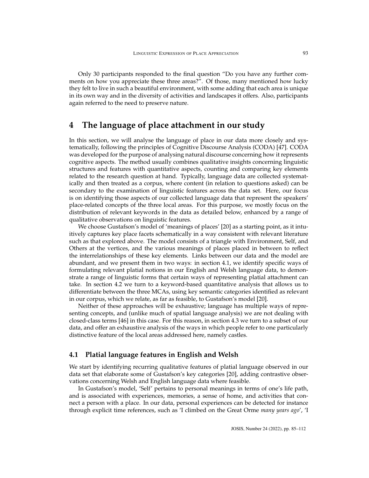Only 30 participants responded to the final question "Do you have any further comments on how you appreciate these three areas?". Of those, many mentioned how lucky they felt to live in such a beautiful environment, with some adding that each area is unique in its own way and in the diversity of activities and landscapes it offers. Also, participants again referred to the need to preserve nature.

# **4 The language of place attachment in our study**

In this section, we will analyse the language of place in our data more closely and systematically, following the principles of Cognitive Discourse Analysis (CODA) [\[47\]](#page-25-6). CODA was developed for the purpose of analysing natural discourse concerning how it represents cognitive aspects. The method usually combines qualitative insights concerning linguistic structures and features with quantitative aspects, counting and comparing key elements related to the research question at hand. Typically, language data are collected systematically and then treated as a corpus, where content (in relation to questions asked) can be secondary to the examination of linguistic features across the data set. Here, our focus is on identifying those aspects of our collected language data that represent the speakers' place-related concepts of the three local areas. For this purpose, we mostly focus on the distribution of relevant keywords in the data as detailed below, enhanced by a range of qualitative observations on linguistic features.

We choose Gustafson's model of 'meanings of places' [\[20\]](#page-23-4) as a starting point, as it intuitively captures key place facets schematically in a way consistent with relevant literature such as that explored above. The model consists of a triangle with Environment, Self, and Others at the vertices, and the various meanings of places placed in between to reflect the interrelationships of these key elements. Links between our data and the model are abundant, and we present them in two ways: in section [4.1,](#page-8-0) we identify specific ways of formulating relevant platial notions in our English and Welsh language data, to demonstrate a range of linguistic forms that certain ways of representing platial attachment can take. In section [4.2](#page-10-0) we turn to a keyword-based quantitative analysis that allows us to differentiate between the three MCAs, using key semantic categories identified as relevant in our corpus, which we relate, as far as feasible, to Gustafson's model [\[20\]](#page-23-4).

Neither of these approaches will be exhaustive; language has multiple ways of representing concepts, and (unlike much of spatial language analysis) we are not dealing with closed-class terms [\[46\]](#page-25-7) in this case. For this reason, in section [4.3](#page-14-0) we turn to a subset of our data, and offer an exhaustive analysis of the ways in which people refer to one particularly distinctive feature of the local areas addressed here, namely castles.

## <span id="page-8-0"></span>**4.1 Platial language features in English and Welsh**

We start by identifying recurring qualitative features of platial language observed in our data set that elaborate some of Gustafson's key categories [\[20\]](#page-23-4), adding contrastive observations concerning Welsh and English language data where feasible.

In Gustafson's model, 'Self' pertains to personal meanings in terms of one's life path, and is associated with experiences, memories, a sense of home, and activities that connect a person with a place. In our data, personal experiences can be detected for instance through explicit time references, such as 'I climbed on the Great Orme *many years ago*', 'I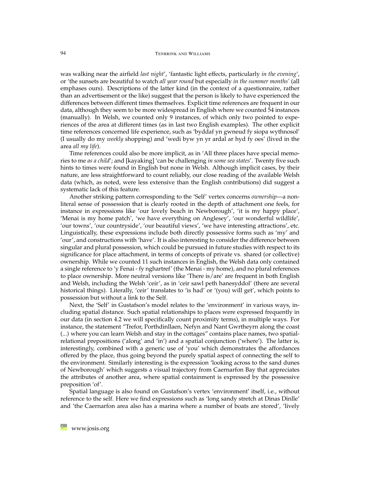was walking near the airfield *last night*', 'fantastic light effects, particularly *in the evening*', or 'the sunsets are beautiful to watch *all year round* but especially *in the summer months'* (all emphases ours). Descriptions of the latter kind (in the context of a questionnaire, rather than an advertisement or the like) suggest that the person is likely to have experienced the differences between different times themselves. Explicit time references are frequent in our data, although they seem to be more widespread in English where we counted 54 instances (manually). In Welsh, we counted only 9 instances, of which only two pointed to experiences of the area at different times (as in last two English examples). The other explicit time references concerned life experience, such as 'byddaf yn gwneud fy siopa wythnosol' (I usually do my *weekly* shopping) and 'wedi byw yn yr ardal ar hyd fy oes' (lived in the area *all my life*).

Time references could also be more implicit, as in 'All three places have special memories to me *as a child*'; and [kayaking] 'can be challenging *in some sea states*'. Twenty five such hints to times were found in English but none in Welsh. Although implicit cases, by their nature, are less straightforward to count reliably, our close reading of the available Welsh data (which, as noted, were less extensive than the English contributions) did suggest a systematic lack of this feature.

Another striking pattern corresponding to the 'Self' vertex concerns *ownership*—a nonliteral sense of possession that is clearly rooted in the depth of attachment one feels, for instance in expressions like 'our lovely beach in Newborough', 'it is my happy place', 'Menai is my home patch', 'we have everything on Anglesey', 'our wonderful wildlife', 'our towns', 'our countryside', 'our beautiful views', 'we have interesting attractions', etc. Linguistically, these expressions include both directly possessive forms such as 'my' and 'our', and constructions with 'have'. It is also interesting to consider the difference between singular and plural possession, which could be pursued in future studies with respect to its significance for place attachment, in terms of concepts of private vs. shared (or collective) ownership. While we counted 11 such instances in English, the Welsh data only contained a single reference to 'y Fenai - fy nghartref' (the Menai - my home), and no plural references to place ownership. More neutral versions like 'There is/are' are frequent in both English and Welsh, including the Welsh 'ceir', as in 'ceir sawl peth hanesyddol' (there are several historical things). Literally, 'ceir' translates to 'is had' or '(you) will get', which points to possession but without a link to the Self.

Next, the 'Self' in Gustafson's model relates to the 'environment' in various ways, including spatial distance. Such spatial relationships to places were expressed frequently in our data (in section [4.2](#page-10-0) we will specifically count proximity terms), in multiple ways. For instance, the statement "Trefor, Porthdinllaen, Nefyn and Nant Gwrtheyrn along the coast (...) where you can learn Welsh and stay in the cottages" contains place names, two spatialrelational prepositions ('along' and 'in') and a spatial conjunction ('where'). The latter is, interestingly, combined with a generic use of 'you' which demonstrates the affordances offered by the place, thus going beyond the purely spatial aspect of connecting the self to the environment. Similarly interesting is the expression 'looking across to the sand dunes of Newborough' which suggests a visual trajectory from Caernarfon Bay that appreciates the attributes of another area, where spatial containment is expressed by the possessive preposition 'of'.

Spatial language is also found on Gustafson's vertex 'environment' itself, i.e., without reference to the self. Here we find expressions such as 'long sandy stretch at Dinas Dinlle' and 'the Caernarfon area also has a marina where a number of boats are stored', 'lively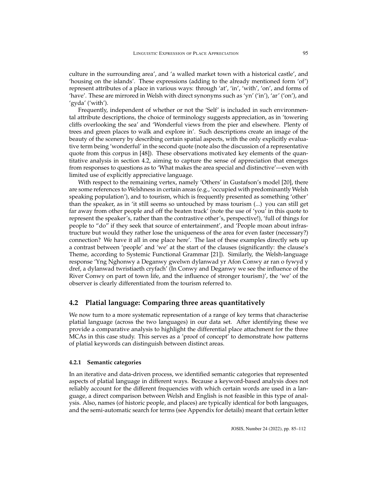culture in the surrounding area', and 'a walled market town with a historical castle', and 'housing on the islands'. These expressions (adding to the already mentioned form 'of') represent attributes of a place in various ways: through 'at', 'in', 'with', 'on', and forms of 'have'. These are mirrored in Welsh with direct synonyms such as 'yn' ('in'), 'ar' ('on'), and 'gyda' ('with').

Frequently, independent of whether or not the 'Self' is included in such environmental attribute descriptions, the choice of terminology suggests appreciation, as in 'towering cliffs overlooking the sea' and 'Wonderful views from the pier and elsewhere. Plenty of trees and green places to walk and explore in'. Such descriptions create an image of the beauty of the scenery by describing certain spatial aspects, with the only explicitly evaluative term being 'wonderful' in the second quote (note also the discussion of a representative quote from this corpus in [\[48\]](#page-25-8)). These observations motivated key elements of the quantitative analysis in section [4.2,](#page-10-0) aiming to capture the sense of appreciation that emerges from responses to questions as to 'What makes the area special and distinctive'—even with limited use of explicitly appreciative language.

With respect to the remaining vertex, namely 'Others' in Gustafson's model [\[20\]](#page-23-4), there are some references to Welshness in certain areas (e.g., 'occupied with predominantly Welsh speaking population'), and to tourism, which is frequently presented as something 'other' than the speaker, as in 'it still seems so untouched by mass tourism (...) you can still get far away from other people and off the beaten track' (note the use of 'you' in this quote to represent the speaker's, rather than the contrastive other's, perspective!), 'full of things for people to "do" if they seek that source of entertainment', and 'People moan about infrastructure but would they rather lose the uniqueness of the area for even faster (necessary?) connection? We have it all in one place here'. The last of these examples directly sets up a contrast between 'people' and 'we' at the start of the clauses (significantly: the clause's Theme, according to Systemic Functional Grammar [\[21\]](#page-23-11)). Similarly, the Welsh-language response 'Yng Nghonwy a Deganwy gwelwn dylanwad yr Afon Conwy ar ran o fywyd y dref, a dylanwad twristiaeth cryfach' (In Conwy and Deganwy we see the influence of the River Conwy on part of town life, and the influence of stronger tourism)', the 'we' of the observer is clearly differentiated from the tourism referred to.

## <span id="page-10-0"></span>**4.2 Platial language: Comparing three areas quantitatively**

We now turn to a more systematic representation of a range of key terms that characterise platial language (across the two languages) in our data set. After identifying these we provide a comparative analysis to highlight the differential place attachment for the three MCAs in this case study. This serves as a 'proof of concept' to demonstrate how patterns of platial keywords can distinguish between distinct areas.

#### **4.2.1 Semantic categories**

In an iterative and data-driven process, we identified semantic categories that represented aspects of platial language in different ways. Because a keyword-based analysis does not reliably account for the different frequencies with which certain words are used in a language, a direct comparison between Welsh and English is not feasible in this type of analysis. Also, names (of historic people, and places) are typically identical for both languages, and the semi-automatic search for terms (see Appendix for details) meant that certain letter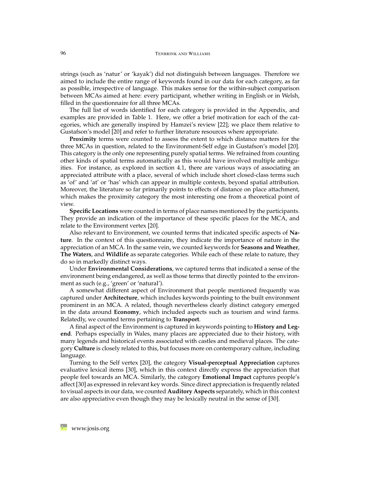strings (such as 'natur' or 'kayak') did not distinguish between languages. Therefore we aimed to include the entire range of keywords found in our data for each category, as far as possible, irrespective of language. This makes sense for the within-subject comparison between MCAs aimed at here: every participant, whether writing in English or in Welsh, filled in the questionnaire for all three MCAs.

The full list of words identified for each category is provided in the Appendix, and examples are provided in Table [1.](#page-12-0) Here, we offer a brief motivation for each of the categories, which are generally inspired by Hamzei's review [\[22\]](#page-23-2); we place them relative to Gustafson's model [\[20\]](#page-23-4) and refer to further literature resources where appropriate.

**Proximity** terms were counted to assess the extent to which distance matters for the three MCAs in question, related to the Environment-Self edge in Gustafson's model [\[20\]](#page-23-4). This category is the only one representing purely spatial terms. We refrained from counting other kinds of spatial terms automatically as this would have involved multiple ambiguities. For instance, as explored in section [4.1,](#page-8-0) there are various ways of associating an appreciated attribute with a place, several of which include short closed-class terms such as 'of' and 'at' or 'has' which can appear in multiple contexts, beyond spatial attribution. Moreover, the literature so far primarily points to effects of distance on place attachment, which makes the proximity category the most interesting one from a theoretical point of view.

**Specific Locations** were counted in terms of place names mentioned by the participants. They provide an indication of the importance of these specific places for the MCA, and relate to the Environment vertex [\[20\]](#page-23-4).

Also relevant to Environment, we counted terms that indicated specific aspects of **Nature**. In the context of this questionnaire, they indicate the importance of nature in the appreciation of an MCA. In the same vein, we counted keywords for **Seasons and Weather**, **The Waters**, and **Wildlife** as separate categories. While each of these relate to nature, they do so in markedly distinct ways.

Under **Environmental Considerations**, we captured terms that indicated a sense of the environment being endangered, as well as those terms that directly pointed to the environment as such (e.g., 'green' or 'natural').

A somewhat different aspect of Environment that people mentioned frequently was captured under **Architecture**, which includes keywords pointing to the built environment prominent in an MCA. A related, though nevertheless clearly distinct category emerged in the data around **Economy**, which included aspects such as tourism and wind farms. Relatedly, we counted terms pertaining to **Transport**.

A final aspect of the Environment is captured in keywords pointing to **History and Legend**. Perhaps especially in Wales, many places are appreciated due to their history, with many legends and historical events associated with castles and medieval places. The category **Culture** is closely related to this, but focuses more on contemporary culture, including language.

Turning to the Self vertex [\[20\]](#page-23-4), the category **Visual-perceptual Appreciation** captures evaluative lexical items [\[30\]](#page-24-8), which in this context directly express the appreciation that people feel towards an MCA. Similarly, the category **Emotional Impact** captures people's affect [\[30\]](#page-24-8) as expressed in relevant key words. Since direct appreciation is frequently related to visual aspects in our data, we counted **Auditory Aspects** separately, which in this context are also appreciative even though they may be lexically neutral in the sense of [\[30\]](#page-24-8).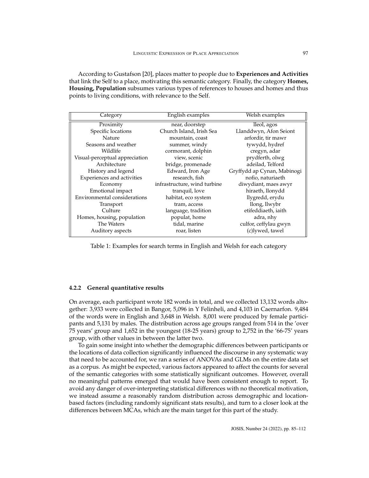According to Gustafson [\[20\]](#page-23-4), places matter to people due to **Experiences and Activities** that link the Self to a place, motivating this semantic category. Finally, the category **Homes, Housing, Population** subsumes various types of references to houses and homes and thus points to living conditions, with relevance to the Self.

| Category                       | English examples             | Welsh examples              |
|--------------------------------|------------------------------|-----------------------------|
| Proximity                      | near, doorstep               | lleol, agos                 |
| Specific locations             | Church Island, Irish Sea     | Llanddwyn, Afon Seiont      |
| <b>Nature</b>                  | mountain, coast              | arfordir, tir mawr          |
| Seasons and weather            | summer, windy                | tywydd, hydref              |
| Wildlife                       | cormorant, dolphin           | cregyn, adar                |
| Visual-perceptual appreciation | view, scenic                 | prydferth, olwg             |
| Architecture                   | bridge, promenade            | adeilad, Telford            |
| History and legend             | Edward, Iron Age             | Gryffydd ap Cynan, Mabinogi |
| Experiences and activities     | research, fish               | nofio, naturiaeth           |
| Economy                        | infrastructure, wind turbine | diwydiant, maes awyr        |
| Emotional impact               | tranquil, love               | hiraeth, llonydd            |
| Environmental considerations   | habitat, eco system          | llygredd, erydu             |
| Transport                      | tram, access                 | llong, llwybr               |
| Culture                        | language, tradition          | etifeddiaeth, iaith         |
| Homes, housing, population     | populat, home                | adra, nhy                   |
| The Waters                     | tidal, marine                | culfor, ceffylau gwyn       |
| Auditory aspects               | roar, listen                 | (c)lywed, tawel             |

<span id="page-12-0"></span>Table 1: Examples for search terms in English and Welsh for each category

#### **4.2.2 General quantitative results**

On average, each participant wrote 182 words in total, and we collected 13,132 words altogether: 3,933 were collected in Bangor, 5,096 in Y Felinheli, and 4,103 in Caernarfon. 9,484 of the words were in English and 3,648 in Welsh. 8,001 were produced by female participants and 5,131 by males. The distribution across age groups ranged from 514 in the 'over 75 years' group and 1,652 in the youngest (18-25 years) group to 2,752 in the '66-75' years group, with other values in between the latter two.

To gain some insight into whether the demographic differences between participants or the locations of data collection significantly influenced the discourse in any systematic way that need to be accounted for, we ran a series of ANOVAs and GLMs on the entire data set as a corpus. As might be expected, various factors appeared to affect the counts for several of the semantic categories with some statistically significant outcomes. However, overall no meaningful patterns emerged that would have been consistent enough to report. To avoid any danger of over-interpreting statistical differences with no theoretical motivation, we instead assume a reasonably random distribution across demographic and locationbased factors (including randomly significant stats results), and turn to a closer look at the differences between MCAs, which are the main target for this part of the study.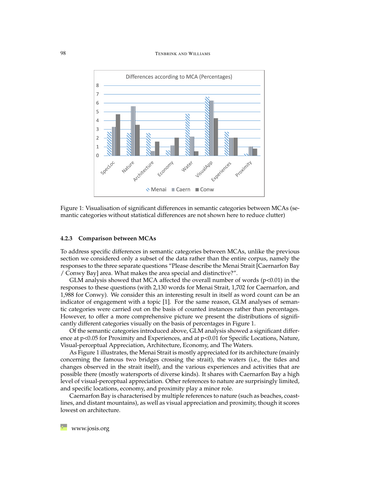#### 98 TENBRINK AND WILLIAMS



<span id="page-13-0"></span>Figure 1: Visualisation of significant differences in semantic categories between MCAs (semantic categories without statistical differences are not shown here to reduce clutter)

#### **4.2.3 Comparison between MCAs**

To address specific differences in semantic categories between MCAs, unlike the previous section we considered only a subset of the data rather than the entire corpus, namely the responses to the three separate questions "Please describe the Menai Strait [Caernarfon Bay / Conwy Bay] area. What makes the area special and distinctive?".

GLM analysis showed that MCA affected the overall number of words  $(p<0.01)$  in the responses to these questions (with 2,130 words for Menai Strait, 1,702 for Caernarfon, and 1,988 for Conwy). We consider this an interesting result in itself as word count can be an indicator of engagement with a topic [\[1\]](#page-21-0). For the same reason, GLM analyses of semantic categories were carried out on the basis of counted instances rather than percentages. However, to offer a more comprehensive picture we present the distributions of significantly different categories visually on the basis of percentages in Figure [1.](#page-13-0)

Of the semantic categories introduced above, GLM analysis showed a significant difference at p<0.05 for Proximity and Experiences, and at p<0.01 for Specific Locations, Nature, Visual-perceptual Appreciation, Architecture, Economy, and The Waters.

As Figure [1](#page-13-0) illustrates, the Menai Strait is mostly appreciated for its architecture (mainly concerning the famous two bridges crossing the strait), the waters (i.e., the tides and changes observed in the strait itself), and the various experiences and activities that are possible there (mostly watersports of diverse kinds). It shares with Caernarfon Bay a high level of visual-perceptual appreciation. Other references to nature are surprisingly limited, and specific locations, economy, and proximity play a minor role.

Caernarfon Bay is characterised by multiple references to nature (such as beaches, coastlines, and distant mountains), as well as visual appreciation and proximity, though it scores lowest on architecture.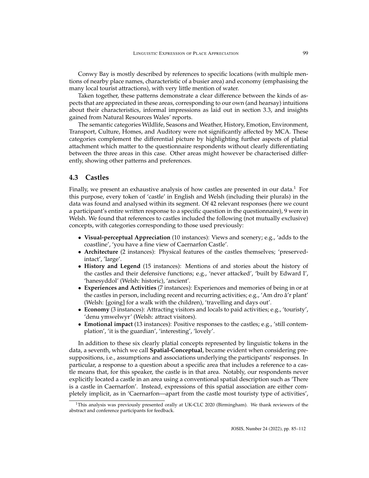Conwy Bay is mostly described by references to specific locations (with multiple mentions of nearby place names, characteristic of a busier area) and economy (emphasising the many local tourist attractions), with very little mention of water.

Taken together, these patterns demonstrate a clear difference between the kinds of aspects that are appreciated in these areas, corresponding to our own (and hearsay) intuitions about their characteristics, informal impressions as laid out in section [3.3,](#page-7-0) and insights gained from Natural Resources Wales' reports.

The semantic categories Wildlife, Seasons and Weather, History, Emotion, Environment, Transport, Culture, Homes, and Auditory were not significantly affected by MCA. These categories complement the differential picture by highlighting further aspects of platial attachment which matter to the questionnaire respondents without clearly differentiating between the three areas in this case. Other areas might however be characterised differently, showing other patterns and preferences.

## <span id="page-14-0"></span>**4.3 Castles**

Finally, we present an exhaustive analysis of how castles are presented in our data.<sup>[1](#page-14-1)</sup> For this purpose, every token of 'castle' in English and Welsh (including their plurals) in the data was found and analysed within its segment. Of 42 relevant responses (here we count a participant's entire written response to a specific question in the questionnaire), 9 were in Welsh. We found that references to castles included the following (not mutually exclusive) concepts, with categories corresponding to those used previously:

- **Visual-perceptual Appreciation** (10 instances): Views and scenery; e.g., 'adds to the coastline', 'you have a fine view of Caernarfon Castle'.
- **Architecture** (2 instances): Physical features of the castles themselves; 'preservedintact', 'large'.
- **History and Legend** (15 instances): Mentions of and stories about the history of the castles and their defensive functions; e.g., 'never attacked', 'built by Edward I', 'hanesyddol' (Welsh: historic), 'ancient'.
- **Experiences and Activities** (7 instances): Experiences and memories of being in or at the castles in person, including recent and recurring activities; e.g., 'Am dro â'r plant' (Welsh: [going] for a walk with the children), 'travelling and days out'.
- **Economy** (3 instances): Attracting visitors and locals to paid activities; e.g., 'touristy', 'denu ymwelwyr' (Welsh: attract visitors).
- **Emotional impact** (13 instances): Positive responses to the castles; e.g., 'still contemplation', 'it is the guardian', 'interesting', 'lovely'.

In addition to these six clearly platial concepts represented by linguistic tokens in the data, a seventh, which we call **Spatial-Conceptual**, became evident when considering presuppositions, i.e., assumptions and associations underlying the participants' responses. In particular, a response to a question about a specific area that includes a reference to a castle means that, for this speaker, the castle is in that area. Notably, our respondents never explicitly located a castle in an area using a conventional spatial description such as 'There is a castle in Caernarfon'. Instead, expressions of this spatial association are either completely implicit, as in 'Caernarfon—apart from the castle most touristy type of activities',

<span id="page-14-1"></span><sup>&</sup>lt;sup>1</sup>This analysis was previously presented orally at UK-CLC 2020 (Birmingham). We thank reviewers of the abstract and conference participants for feedback.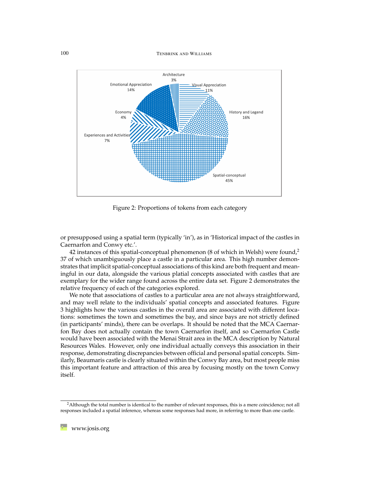100 TENBRINK AND WILLIAMS



<span id="page-15-1"></span>Figure 2: Proportions of tokens from each category

or presupposed using a spatial term (typically 'in'), as in 'Historical impact of the castles in Caernarfon and Conwy etc.'.

4[2](#page-15-0) instances of this spatial-conceptual phenomenon (8 of which in Welsh) were found,<sup>2</sup> 37 of which unambiguously place a castle in a particular area. This high number demonstrates that implicit spatial-conceptual associations of this kind are both frequent and meaningful in our data, alongside the various platial concepts associated with castles that are exemplary for the wider range found across the entire data set. Figure [2](#page-15-1) demonstrates the relative frequency of each of the categories explored.

We note that associations of castles to a particular area are not always straightforward, and may well relate to the individuals' spatial concepts and associated features. Figure [3](#page-16-0) highlights how the various castles in the overall area are associated with different locations: sometimes the town and sometimes the bay, and since bays are not strictly defined (in participants' minds), there can be overlaps. It should be noted that the MCA Caernarfon Bay does not actually contain the town Caernarfon itself, and so Caernarfon Castle would have been associated with the Menai Strait area in the MCA description by Natural Resources Wales. However, only one individual actually conveys this association in their response, demonstrating discrepancies between official and personal spatial concepts. Similarly, Beaumaris castle is clearly situated within the Conwy Bay area, but most people miss this important feature and attraction of this area by focusing mostly on the town Conwy itself.

<span id="page-15-0"></span><sup>&</sup>lt;sup>2</sup>Although the total number is identical to the number of relevant responses, this is a mere coincidence; not all responses included a spatial inference, whereas some responses had more, in referring to more than one castle.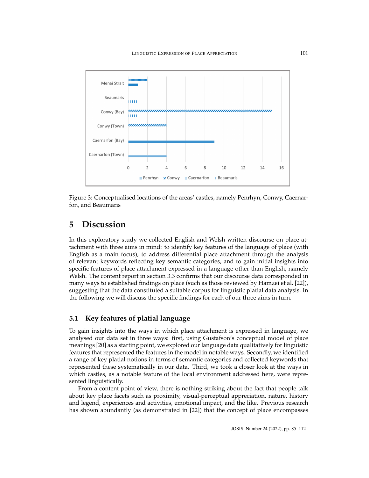

<span id="page-16-0"></span>Figure 3: Conceptualised locations of the areas' castles, namely Penrhyn, Conwy, Caernarfon, and Beaumaris

## **5 Discussion**

In this exploratory study we collected English and Welsh written discourse on place attachment with three aims in mind: to identify key features of the language of place (with English as a main focus), to address differential place attachment through the analysis of relevant keywords reflecting key semantic categories, and to gain initial insights into specific features of place attachment expressed in a language other than English, namely Welsh. The content report in section [3.3](#page-7-0) confirms that our discourse data corresponded in many ways to established findings on place (such as those reviewed by Hamzei et al. [\[22\]](#page-23-2)), suggesting that the data constituted a suitable corpus for linguistic platial data analysis. In the following we will discuss the specific findings for each of our three aims in turn.

## **5.1 Key features of platial language**

To gain insights into the ways in which place attachment is expressed in language, we analysed our data set in three ways: first, using Gustafson's conceptual model of place meanings [\[20\]](#page-23-4) as a starting point, we explored our language data qualitatively for linguistic features that represented the features in the model in notable ways. Secondly, we identified a range of key platial notions in terms of semantic categories and collected keywords that represented these systematically in our data. Third, we took a closer look at the ways in which castles, as a notable feature of the local environment addressed here, were represented linguistically.

From a content point of view, there is nothing striking about the fact that people talk about key place facets such as proximity, visual-perceptual appreciation, nature, history and legend, experiences and activities, emotional impact, and the like. Previous research has shown abundantly (as demonstrated in [\[22\]](#page-23-2)) that the concept of place encompasses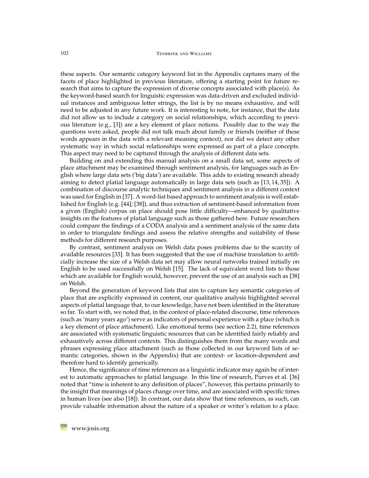these aspects. Our semantic category keyword list in the Appendix captures many of the facets of place highlighted in previous literature, offering a starting point for future research that aims to capture the expression of diverse concepts associated with place(s). As the keyword-based search for linguistic expression was data-driven and excluded individual instances and ambiguous letter strings, the list is by no means exhaustive, and will need to be adjusted in any future work. It is interesting to note, for instance, that the data did not allow us to include a category on social relationships, which according to previous literature (e.g., [\[3\]](#page-22-8)) are a key element of place notions. Possibly due to the way the questions were asked, people did not talk much about family or friends (neither of these words appears in the data with a relevant meaning context), nor did we detect any other systematic way in which social relationships were expressed as part of a place concepts. This aspect may need to be captured through the analysis of different data sets.

Building on and extending this manual analysis on a small data set, some aspects of place attachment may be examined through sentiment analysis, for languages such as English where large data sets ('big data') are available. This adds to existing research already aiming to detect platial language automatically in large data sets (such as [\[13,](#page-22-9) [14,](#page-22-6) [35\]](#page-24-9)). A combination of discourse analytic techniques and sentiment analysis in a different context was used for English in [\[37\]](#page-24-10). A word-list based approach to sentiment analysis is well established for English (e.g. [\[44\]](#page-24-11); [\[38\]](#page-24-12)), and thus extraction of sentiment-based information from a given (English) corpus on place should pose little difficulty—enhanced by qualitative insights on the features of platial language such as those gathered here. Future researchers could compare the findings of a CODA analysis and a sentiment analysis of the same data in order to triangulate findings and assess the relative strengths and suitability of these methods for different research purposes.

By contrast, sentiment analysis on Welsh data poses problems due to the scarcity of available resources [\[33\]](#page-24-13). It has been suggested that the use of machine translation to artificially increase the size of a Welsh data set may allow neural networks trained initially on English to be used successfully on Welsh [\[15\]](#page-22-10). The lack of equivalent word lists to those which are available for English would, however, prevent the use of an analysis such as [\[38\]](#page-24-12) on Welsh.

Beyond the generation of keyword lists that aim to capture key semantic categories of place that are explicitly expressed in content, our qualitative analysis highlighted several aspects of platial language that, to our knowledge, have not been identified in the literature so far. To start with, we noted that, in the context of place-related discourse, time references (such as 'many years ago') serve as indicators of personal experience with a place (which is a key element of place attachment). Like emotional terms (see section [2.2\)](#page-4-0), time references are associated with systematic linguistic resources that can be identified fairly reliably and exhaustively across different contexts. This distinguishes them from the many words and phrases expressing place attachment (such as those collected in our keyword lists of semantic categories, shown in the Appendix) that are context- or location-dependent and therefore hard to identify generically.

Hence, the significance of time references as a linguistic indicator may again be of interest to automatic approaches to platial language. In this line of research, Purves et al. [\[36\]](#page-24-14) noted that "time is inherent to any definition of places", however, this pertains primarily to the insight that meanings of places change over time, and are associated with specific times in human lives (see also [\[18\]](#page-23-6)). In contrast, our data show that time references, as such, can provide valuable information about the nature of a speaker or writer's relation to a place.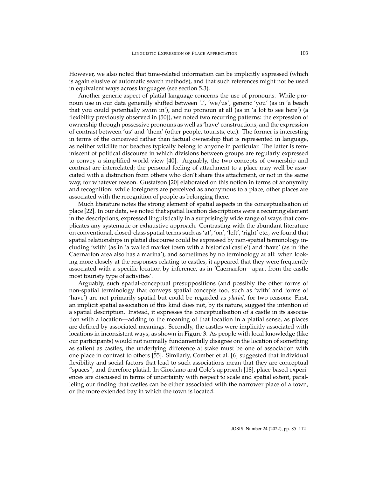However, we also noted that time-related information can be implicitly expressed (which is again elusive of automatic search methods), and that such references might not be used in equivalent ways across languages (see section [5.3\)](#page-20-0).

Another generic aspect of platial language concerns the use of pronouns. While pronoun use in our data generally shifted between 'I', 'we/us', generic 'you' (as in 'a beach that you could potentially swim in'), and no pronoun at all (as in 'a lot to see here') (a flexibility previously observed in [\[50\]](#page-25-9)), we noted two recurring patterns: the expression of ownership through possessive pronouns as well as 'have' constructions, and the expression of contrast between 'us' and 'them' (other people, tourists, etc.). The former is interesting in terms of the conceived rather than factual ownership that is represented in language, as neither wildlife nor beaches typically belong to anyone in particular. The latter is reminiscent of political discourse in which divisions between groups are regularly expressed to convey a simplified world view [\[40\]](#page-24-7). Arguably, the two concepts of ownership and contrast are interrelated; the personal feeling of attachment to a place may well be associated with a distinction from others who don't share this attachment, or not in the same way, for whatever reason. Gustafson [\[20\]](#page-23-4) elaborated on this notion in terms of anonymity and recognition: while foreigners are perceived as anonymous to a place, other places are associated with the recognition of people as belonging there.

Much literature notes the strong element of spatial aspects in the conceptualisation of place [\[22\]](#page-23-2). In our data, we noted that spatial location descriptions were a recurring element in the descriptions, expressed linguistically in a surprisingly wide range of ways that complicates any systematic or exhaustive approach. Contrasting with the abundant literature on conventional, closed-class spatial terms such as 'at', 'on', 'left', 'right' etc., we found that spatial relationships in platial discourse could be expressed by non-spatial terminology including 'with' (as in 'a walled market town with a historical castle') and 'have' (as in 'the Caernarfon area also has a marina'), and sometimes by no terminology at all: when looking more closely at the responses relating to castles, it appeared that they were frequently associated with a specific location by inference, as in 'Caernarfon—apart from the castle most touristy type of activities'.

Arguably, such spatial-conceptual presuppositions (and possibly the other forms of non-spatial terminology that conveys spatial concepts too, such as 'with' and forms of 'have') are not primarily spatial but could be regarded as *platial*, for two reasons: First, an implicit spatial association of this kind does not, by its nature, suggest the intention of a spatial description. Instead, it expresses the conceptualisation of a castle in its association with a location—adding to the meaning of that location in a platial sense, as places are defined by associated meanings. Secondly, the castles were implicitly associated with locations in inconsistent ways, as shown in Figure [3.](#page-16-0) As people with local knowledge (like our participants) would not normally fundamentally disagree on the location of something as salient as castles, the underlying difference at stake must be one of association with one place in contrast to others [\[55\]](#page-25-2). Similarly, Comber et al. [\[6\]](#page-22-5) suggested that individual flexibility and social factors that lead to such associations mean that they are conceptual "spaces", and therefore platial. In Giordano and Cole's approach [\[18\]](#page-23-6), place-based experiences are discussed in terms of uncertainty with respect to scale and spatial extent, paralleling our finding that castles can be either associated with the narrower place of a town, or the more extended bay in which the town is located.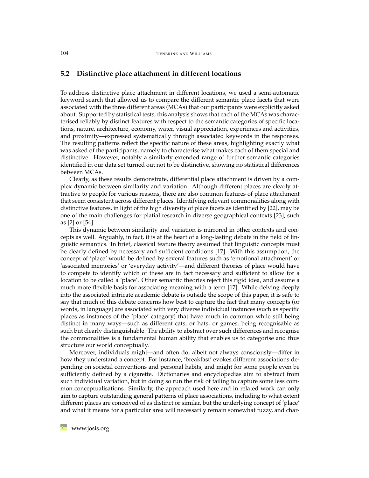## **5.2 Distinctive place attachment in different locations**

To address distinctive place attachment in different locations, we used a semi-automatic keyword search that allowed us to compare the different semantic place facets that were associated with the three different areas (MCAs) that our participants were explicitly asked about. Supported by statistical tests, this analysis shows that each of the MCAs was characterised reliably by distinct features with respect to the semantic categories of specific locations, nature, architecture, economy, water, visual appreciation, experiences and activities, and proximity—expressed systematically through associated keywords in the responses. The resulting patterns reflect the specific nature of these areas, highlighting exactly what was asked of the participants, namely to characterise what makes each of them special and distinctive. However, notably a similarly extended range of further semantic categories identified in our data set turned out not to be distinctive, showing no statistical differences between MCAs.

Clearly, as these results demonstrate, differential place attachment is driven by a complex dynamic between similarity and variation. Although different places are clearly attractive to people for various reasons, there are also common features of place attachment that seem consistent across different places. Identifying relevant commonalities along with distinctive features, in light of the high diversity of place facets as identified by [\[22\]](#page-23-2), may be one of the main challenges for platial research in diverse geographical contexts [\[23\]](#page-23-12), such as [\[2\]](#page-22-11) or [\[54\]](#page-25-10).

This dynamic between similarity and variation is mirrored in other contexts and concepts as well. Arguably, in fact, it is at the heart of a long-lasting debate in the field of linguistic semantics. In brief, classical feature theory assumed that linguistic concepts must be clearly defined by necessary and sufficient conditions [\[17\]](#page-23-13). With this assumption, the concept of 'place' would be defined by several features such as 'emotional attachment' or 'associated memories' or 'everyday activity'—and different theories of place would have to compete to identify which of these are in fact necessary and sufficient to allow for a location to be called a 'place'. Other semantic theories reject this rigid idea, and assume a much more flexible basis for associating meaning with a term [\[17\]](#page-23-13). While delving deeply into the associated intricate academic debate is outside the scope of this paper, it is safe to say that much of this debate concerns how best to capture the fact that many concepts (or words, in language) are associated with very diverse individual instances (such as specific places as instances of the 'place' category) that have much in common while still being distinct in many ways—such as different cats, or hats, or games, being recognisable as such but clearly distinguishable. The ability to abstract over such differences and recognise the commonalities is a fundamental human ability that enables us to categorise and thus structure our world conceptually.

Moreover, individuals might—and often do, albeit not always consciously—differ in how they understand a concept. For instance, 'breakfast' evokes different associations depending on societal conventions and personal habits, and might for some people even be sufficiently defined by a cigarette. Dictionaries and encyclopedias aim to abstract from such individual variation, but in doing so run the risk of failing to capture some less common conceptualisations. Similarly, the approach used here and in related work can only aim to capture outstanding general patterns of place associations, including to what extent different places are conceived of as distinct or similar, but the underlying concept of 'place' and what it means for a particular area will necessarily remain somewhat fuzzy, and char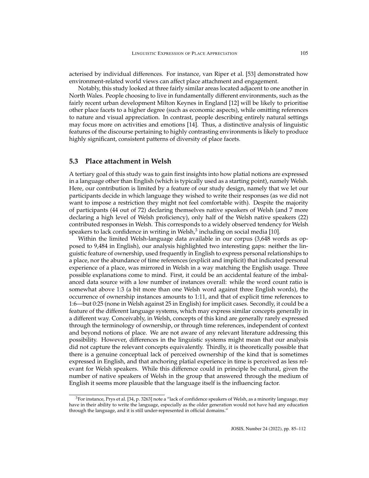acterised by individual differences. For instance, van Riper et al. [\[53\]](#page-25-3) demonstrated how environment-related world views can affect place attachment and engagement.

Notably, this study looked at three fairly similar areas located adjacent to one another in North Wales. People choosing to live in fundamentally different environments, such as the fairly recent urban development Milton Keynes in England [\[12\]](#page-22-12) will be likely to prioritise other place facets to a higher degree (such as economic aspects), while omitting references to nature and visual appreciation. In contrast, people describing entirely natural settings may focus more on activities and emotions [\[14\]](#page-22-6). Thus, a distinctive analysis of linguistic features of the discourse pertaining to highly contrasting environments is likely to produce highly significant, consistent patterns of diversity of place facets.

## <span id="page-20-0"></span>**5.3 Place attachment in Welsh**

A tertiary goal of this study was to gain first insights into how platial notions are expressed in a language other than English (which is typically used as a starting point), namely Welsh. Here, our contribution is limited by a feature of our study design, namely that we let our participants decide in which language they wished to write their responses (as we did not want to impose a restriction they might not feel comfortable with). Despite the majority of participants (44 out of 72) declaring themselves native speakers of Welsh (and 7 more declaring a high level of Welsh proficiency), only half of the Welsh native speakers (22) contributed responses in Welsh. This corresponds to a widely observed tendency for Welsh speakers to lack confidence in writing in Welsh, $^3$  $^3$  including on social media [\[10\]](#page-22-13).

Within the limited Welsh-language data available in our corpus (3,648 words as opposed to 9,484 in English), our analysis highlighted two interesting gaps: neither the linguistic feature of ownership, used frequently in English to express personal relationships to a place, nor the abundance of time references (explicit and implicit) that indicated personal experience of a place, was mirrored in Welsh in a way matching the English usage. Three possible explanations come to mind. First, it could be an accidental feature of the imbalanced data source with a low number of instances overall: while the word count ratio is somewhat above 1:3 (a bit more than one Welsh word against three English words), the occurrence of ownership instances amounts to 1:11, and that of explicit time references to 1:6—but 0:25 (none in Welsh against 25 in English) for implicit cases. Secondly, it could be a feature of the different language systems, which may express similar concepts generally in a different way. Conceivably, in Welsh, concepts of this kind are generally rarely expressed through the terminology of ownership, or through time references, independent of context and beyond notions of place. We are not aware of any relevant literature addressing this possibility. However, differences in the linguistic systems might mean that our analysis did not capture the relevant concepts equivalently. Thirdly, it is theoretically possible that there is a genuine conceptual lack of perceived ownership of the kind that is sometimes expressed in English, and that anchoring platial experience in time is perceived as less relevant for Welsh speakers. While this difference could in principle be cultural, given the number of native speakers of Welsh in the group that answered through the medium of English it seems more plausible that the language itself is the influencing factor.

<span id="page-20-1"></span> $3$ For instance, Prys et al. [\[34,](#page-24-15) p. 3263] note a "lack of confidence speakers of Welsh, as a minority language, may have in their ability to write the language, especially as the older generation would not have had any education through the language, and it is still under-represented in official domains."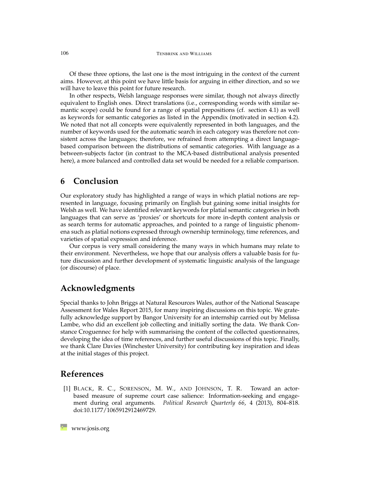Of these three options, the last one is the most intriguing in the context of the current aims. However, at this point we have little basis for arguing in either direction, and so we will have to leave this point for future research.

In other respects, Welsh language responses were similar, though not always directly equivalent to English ones. Direct translations (i.e., corresponding words with similar semantic scope) could be found for a range of spatial prepositions (cf. section [4.1\)](#page-8-0) as well as keywords for semantic categories as listed in the Appendix (motivated in section [4.2\)](#page-10-0). We noted that not all concepts were equivalently represented in both languages, and the number of keywords used for the automatic search in each category was therefore not consistent across the languages; therefore, we refrained from attempting a direct languagebased comparison between the distributions of semantic categories. With language as a between-subjects factor (in contrast to the MCA-based distributional analysis presented here), a more balanced and controlled data set would be needed for a reliable comparison.

## **6 Conclusion**

Our exploratory study has highlighted a range of ways in which platial notions are represented in language, focusing primarily on English but gaining some initial insights for Welsh as well. We have identified relevant keywords for platial semantic categories in both languages that can serve as 'proxies' or shortcuts for more in-depth content analysis or as search terms for automatic approaches, and pointed to a range of linguistic phenomena such as platial notions expressed through ownership terminology, time references, and varieties of spatial expression and inference.

Our corpus is very small considering the many ways in which humans may relate to their environment. Nevertheless, we hope that our analysis offers a valuable basis for future discussion and further development of systematic linguistic analysis of the language (or discourse) of place.

# **Acknowledgments**

Special thanks to John Briggs at Natural Resources Wales, author of the National Seascape Assessment for Wales Report 2015, for many inspiring discussions on this topic. We gratefully acknowledge support by Bangor University for an internship carried out by Melissa Lambe, who did an excellent job collecting and initially sorting the data. We thank Constance Croguennec for help with summarising the content of the collected questionnaires, developing the idea of time references, and further useful discussions of this topic. Finally, we thank Clare Davies (Winchester University) for contributing key inspiration and ideas at the initial stages of this project.

## **References**

<span id="page-21-0"></span>[1] BLACK, R. C., SORENSON, M. W., AND JOHNSON, T. R. Toward an actorbased measure of supreme court case salience: Information-seeking and engagement during oral arguments. *Political Research Quarterly 66*, 4 (2013), 804–818. [doi:10.1177/1065912912469729.](http://dx.doi.org/10.1177/1065912912469729)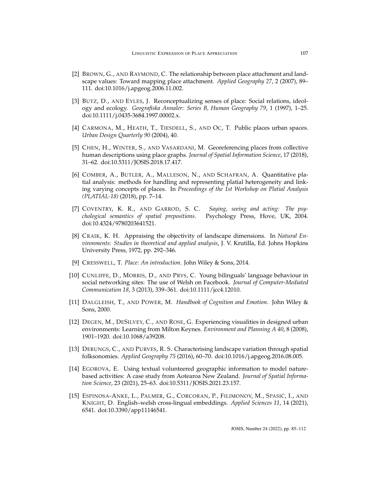- <span id="page-22-11"></span>[2] BROWN, G., AND RAYMOND, C. The relationship between place attachment and landscape values: Toward mapping place attachment. *Applied Geography 27*, 2 (2007), 89– 111. [doi:10.1016/j.apgeog.2006.11.002.](http://dx.doi.org/10.1016/j.apgeog.2006.11.002)
- <span id="page-22-8"></span>[3] BUTZ, D., AND EYLES, J. Reconceptualizing senses of place: Social relations, ideology and ecology. *Geografiska Annaler: Series B, Human Geography 79*, 1 (1997), 1–25. [doi:10.1111/j.0435-3684.1997.00002.x.](http://dx.doi.org/10.1111/j.0435-3684.1997.00002.x)
- <span id="page-22-7"></span>[4] CARMONA, M., HEATH, T., TIESDELL, S., AND OC, T. Public places urban spaces. *Urban Design Quarterly 90* (2004), 40.
- <span id="page-22-4"></span>[5] CHEN, H., WINTER, S., AND VASARDANI, M. Georeferencing places from collective human descriptions using place graphs. *Journal of Spatial Information Science*, 17 (2018), 31–62. [doi:10.5311/JOSIS.2018.17.417.](http://dx.doi.org/10.5311/JOSIS.2018.17.417)
- <span id="page-22-5"></span>[6] COMBER, A., BUTLER, A., MALLESON, N., AND SCHAFRAN, A. Quantitative platial analysis: methods for handling and representing platial heterogeneity and linking varying concepts of places. In *Proceedings of the 1st Workshop on Platial Analysis (PLATIAL-18)* (2018), pp. 7–14.
- <span id="page-22-0"></span>[7] COVENTRY, K. R., AND GARROD, S. C. *Saying, seeing and acting: The psychological semantics of spatial prepositions*. Psychology Press, Hove, UK, 2004. [doi:10.4324/9780203641521.](http://dx.doi.org/10.4324/9780203641521)
- <span id="page-22-3"></span>[8] CRAIK, K. H. Appraising the objectivity of landscape dimensions. In *Natural Environments: Studies in theoretical and applied analysis*, J. V. Krutilla, Ed. Johns Hopkins University Press, 1972, pp. 292–346.
- <span id="page-22-2"></span>[9] CRESSWELL, T. *Place: An introduction*. John Wiley & Sons, 2014.
- <span id="page-22-13"></span>[10] CUNLIFFE, D., MORRIS, D., AND PRYS, C. Young bilinguals' language behaviour in social networking sites: The use of Welsh on Facebook. *Journal of Computer-Mediated Communication 18*, 3 (2013), 339–361. [doi:10.1111/jcc4.12010.](http://dx.doi.org/10.1111/jcc4.12010)
- <span id="page-22-1"></span>[11] DALGLEISH, T., AND POWER, M. *Handbook of Cognition and Emotion*. John Wiley & Sons, 2000.
- <span id="page-22-12"></span>[12] DEGEN, M., DESILVEY, C., AND ROSE, G. Experiencing visualities in designed urban environments: Learning from Milton Keynes. *Environment and Planning A 40*, 8 (2008), 1901–1920. [doi:10.1068/a39208.](http://dx.doi.org/10.1068/a39208)
- <span id="page-22-9"></span>[13] DERUNGS, C., AND PURVES, R. S. Characterising landscape variation through spatial folksonomies. *Applied Geography 75* (2016), 60–70. [doi:10.1016/j.apgeog.2016.08.005.](http://dx.doi.org/10.1016/j.apgeog.2016.08.005)
- <span id="page-22-6"></span>[14] EGOROVA, E. Using textual volunteered geographic information to model naturebased activities: A case study from Aotearoa New Zealand. *Journal of Spatial Information Science*, 23 (2021), 25–63. [doi:10.5311/JOSIS.2021.23.157.](http://dx.doi.org/10.5311/JOSIS.2021.23.157)
- <span id="page-22-10"></span>[15] ESPINOSA-ANKE, L., PALMER, G., CORCORAN, P., FILIMONOV, M., SPASIĆ, I., AND KNIGHT, D. English–welsh cross-lingual embeddings. *Applied Sciences 11*, 14 (2021), 6541. [doi:10.3390/app11146541.](http://dx.doi.org/10.3390/app11146541)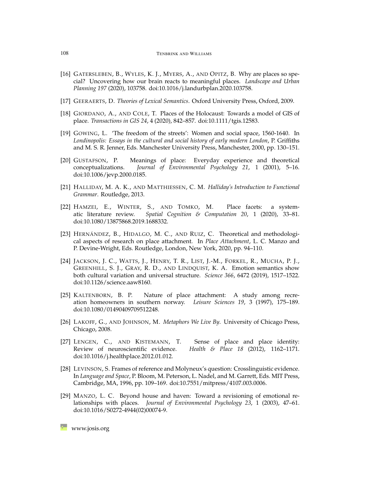- <span id="page-23-8"></span>[16] GATERSLEBEN, B., WYLES, K. J., MYERS, A., AND OPITZ, B. Why are places so special? Uncovering how our brain reacts to meaningful places. *Landscape and Urban Planning 197* (2020), 103758. [doi:10.1016/j.landurbplan.2020.103758.](http://dx.doi.org/10.1016/j.landurbplan.2020.103758)
- <span id="page-23-13"></span>[17] GEERAERTS, D. *Theories of Lexical Semantics*. Oxford University Press, Oxford, 2009.
- <span id="page-23-6"></span>[18] GIORDANO, A., AND COLE, T. Places of the Holocaust: Towards a model of GIS of place. *Transactions in GIS 24*, 4 (2020), 842–857. [doi:10.1111/tgis.12583.](http://dx.doi.org/10.1111/tgis.12583)
- <span id="page-23-5"></span>[19] GOWING, L. 'The freedom of the streets': Women and social space, 1560-1640. In *Londinopolis: Essays in the cultural and social history of early modern London*, P. Griffiths and M. S. R. Jenner, Eds. Manchester University Press, Manchester, 2000, pp. 130–151.
- <span id="page-23-4"></span>[20] GUSTAFSON, P. Meanings of place: Everyday experience and theoretical conceptualizations. *Journal of Environmental Psychology 21*, 1 (2001), 5–16. [doi:10.1006/jevp.2000.0185.](http://dx.doi.org/10.1006/jevp.2000.0185)
- <span id="page-23-11"></span>[21] HALLIDAY, M. A. K., AND MATTHIESSEN, C. M. *Halliday's Introduction to Functional Grammar*. Routledge, 2013.
- <span id="page-23-2"></span>[22] HAMZEI, E., WINTER, S., AND TOMKO, M. Place facets: a systematic literature review. *Spatial Cognition & Computation 20*, 1 (2020), 33–81. [doi:10.1080/13875868.2019.1688332.](http://dx.doi.org/10.1080/13875868.2019.1688332)
- <span id="page-23-12"></span>[23] HERNÁNDEZ, B., HIDALGO, M. C., AND RUIZ, C. Theoretical and methodological aspects of research on place attachment. In *Place Attachment*, L. C. Manzo and P. Devine-Wright, Eds. Routledge, London, New York, 2020, pp. 94–110.
- <span id="page-23-1"></span>[24] JACKSON, J. C., WATTS, J., HENRY, T. R., LIST, J.-M., FORKEL, R., MUCHA, P. J., GREENHILL, S. J., GRAY, R. D., AND LINDQUIST, K. A. Emotion semantics show both cultural variation and universal structure. *Science 366*, 6472 (2019), 1517–1522. [doi:10.1126/science.aaw8160.](http://dx.doi.org/10.1126/science.aaw8160)
- <span id="page-23-10"></span>[25] KALTENBORN, B. P. Nature of place attachment: A study among recreation homeowners in southern norway. *Leisure Sciences 19*, 3 (1997), 175–189. [doi:10.1080/01490409709512248.](http://dx.doi.org/10.1080/01490409709512248)
- <span id="page-23-3"></span>[26] LAKOFF, G., AND JOHNSON, M. *Metaphors We Live By*. University of Chicago Press, Chicago, 2008.
- <span id="page-23-7"></span>[27] LENGEN, C., AND KISTEMANN, T. Sense of place and place identity: Review of neuroscientific evidence. *Health & Place 18* (2012), 1162–1171. [doi:10.1016/j.healthplace.2012.01.012.](http://dx.doi.org/10.1016/j.healthplace.2012.01.012)
- <span id="page-23-0"></span>[28] LEVINSON, S. Frames of reference and Molyneux's question: Crosslinguistic evidence. In *Language and Space*, P. Bloom, M. Peterson, L. Nadel, and M. Garrett, Eds. MIT Press, Cambridge, MA, 1996, pp. 109–169. [doi:10.7551/mitpress/4107.003.0006.](http://dx.doi.org/10.7551/mitpress/4107.003.0006)
- <span id="page-23-9"></span>[29] MANZO, L. C. Beyond house and haven: Toward a revisioning of emotional relationships with places. *Journal of Environmental Psychology 23*, 1 (2003), 47–61. [doi:10.1016/S0272-4944\(02\)00074-9.](http://dx.doi.org/10.1016/S0272-4944(02)00074-9)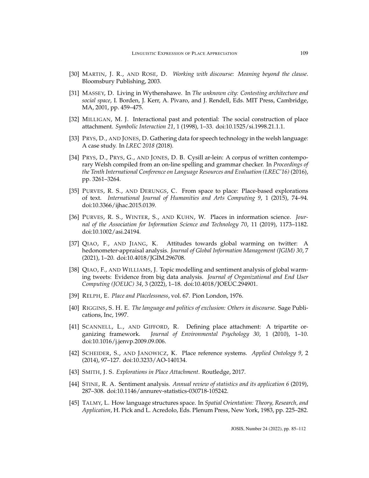- <span id="page-24-8"></span>[30] MARTIN, J. R., AND ROSE, D. *Working with discourse: Meaning beyond the clause*. Bloomsbury Publishing, 2003.
- <span id="page-24-3"></span>[31] MASSEY, D. Living in Wythenshawe. In *The unknown city: Contesting architecture and social space*, I. Borden, J. Kerr, A. Pivaro, and J. Rendell, Eds. MIT Press, Cambridge, MA, 2001, pp. 459–475.
- <span id="page-24-6"></span>[32] MILLIGAN, M. J. Interactional past and potential: The social construction of place attachment. *Symbolic Interaction 21*, 1 (1998), 1–33. [doi:10.1525/si.1998.21.1.1.](http://dx.doi.org/10.1525/si.1998.21.1.1)
- <span id="page-24-13"></span>[33] PRYS, D., AND JONES, D. Gathering data for speech technology in the welsh language: A case study. In *LREC 2018* (2018).
- <span id="page-24-15"></span>[34] PRYS, D., PRYS, G., AND JONES, D. B. Cysill ar-lein: A corpus of written contemporary Welsh compiled from an on-line spelling and grammar checker. In *Proceedings of the Tenth International Conference on Language Resources and Evaluation (LREC'16)* (2016), pp. 3261–3264.
- <span id="page-24-9"></span>[35] PURVES, R. S., AND DERUNGS, C. From space to place: Place-based explorations of text. *International Journal of Humanities and Arts Computing 9*, 1 (2015), 74–94. [doi:10.3366/ijhac.2015.0139.](http://dx.doi.org/10.3366/ijhac.2015.0139)
- <span id="page-24-14"></span>[36] PURVES, R. S., WINTER, S., AND KUHN, W. Places in information science. *Journal of the Association for Information Science and Technology 70*, 11 (2019), 1173–1182. [doi:10.1002/asi.24194.](http://dx.doi.org/10.1002/asi.24194)
- <span id="page-24-10"></span>[37] QIAO, F., AND JIANG, K. Attitudes towards global warming on twitter: A hedonometer-appraisal analysis. *Journal of Global Information Management (JGIM) 30*, 7 (2021), 1–20. [doi:10.4018/JGIM.296708.](http://dx.doi.org/10.4018/JGIM.296708)
- <span id="page-24-12"></span>[38] QIAO, F., AND WILLIAMS, J. Topic modelling and sentiment analysis of global warming tweets: Evidence from big data analysis. *Journal of Organizational and End User Computing (JOEUC) 34*, 3 (2022), 1–18. [doi:10.4018/JOEUC.294901.](http://dx.doi.org/10.4018/JOEUC.294901)
- <span id="page-24-1"></span>[39] RELPH, E. *Place and Placelessness*, vol. 67. Pion London, 1976.
- <span id="page-24-7"></span>[40] RIGGINS, S. H. E. *The language and politics of exclusion: Others in discourse.* Sage Publications, Inc, 1997.
- <span id="page-24-5"></span>[41] SCANNELL, L., AND GIFFORD, R. Defining place attachment: A tripartite organizing framework. *Journal of Environmental Psychology 30*, 1 (2010), 1–10. [doi:10.1016/j.jenvp.2009.09.006.](http://dx.doi.org/10.1016/j.jenvp.2009.09.006)
- <span id="page-24-2"></span>[42] SCHEIDER, S., AND JANOWICZ, K. Place reference systems. *Applied Ontology 9*, 2 (2014), 97–127. [doi:10.3233/AO-140134.](http://dx.doi.org/10.3233/AO-140134)
- <span id="page-24-4"></span>[43] SMITH, J. S. *Explorations in Place Attachment*. Routledge, 2017.
- <span id="page-24-11"></span>[44] STINE, R. A. Sentiment analysis. *Annual review of statistics and its application 6* (2019), 287–308. [doi:10.1146/annurev-statistics-030718-105242.](http://dx.doi.org/10.1146/annurev-statistics-030718-105242)
- <span id="page-24-0"></span>[45] TALMY, L. How language structures space. In *Spatial Orientation: Theory, Research, and Application*, H. Pick and L. Acredolo, Eds. Plenum Press, New York, 1983, pp. 225–282.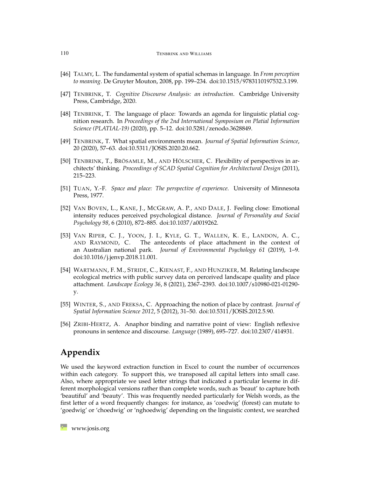- <span id="page-25-7"></span>[46] TALMY, L. The fundamental system of spatial schemas in language. In *From perception to meaning*. De Gruyter Mouton, 2008, pp. 199–234. [doi:10.1515/9783110197532.3.199.](http://dx.doi.org/10.1515/9783110197532.3.199)
- <span id="page-25-6"></span>[47] TENBRINK, T. *Cognitive Discourse Analysis: an introduction*. Cambridge University Press, Cambridge, 2020.
- <span id="page-25-8"></span>[48] TENBRINK, T. The language of place: Towards an agenda for linguistic platial cognition research. In *Proceedings of the 2nd International Symposium on Platial Information Science (PLATIAL-19)* (2020), pp. 5–12. [doi:10.5281/zenodo.3628849.](http://dx.doi.org/10.5281/zenodo.3628849)
- <span id="page-25-0"></span>[49] TENBRINK, T. What spatial environments mean. *Journal of Spatial Information Science*, 20 (2020), 57–63. [doi:10.5311/JOSIS.2020.20.662.](http://dx.doi.org/10.5311/JOSIS.2020.20.662)
- <span id="page-25-9"></span>[50] TENBRINK, T., BRÖSAMLE, M., AND HÖLSCHER, C. Flexibility of perspectives in architects' thinking. *Proceedings of SCAD Spatial Cognition for Architectural Design* (2011), 215–223.
- <span id="page-25-4"></span>[51] TUAN, Y.-F. *Space and place: The perspective of experience*. University of Minnesota Press, 1977.
- <span id="page-25-1"></span>[52] VAN BOVEN, L., KANE, J., MCGRAW, A. P., AND DALE, J. Feeling close: Emotional intensity reduces perceived psychological distance. *Journal of Personality and Social Psychology 98*, 6 (2010), 872–885. [doi:10.1037/a0019262.](http://dx.doi.org/10.1037/a0019262)
- <span id="page-25-3"></span>[53] VAN RIPER, C. J., YOON, J. I., KYLE, G. T., WALLEN, K. E., LANDON, A. C., AND RAYMOND, C. The antecedents of place attachment in the context of an Australian national park. *Journal of Environmental Psychology 61* (2019), 1–9. [doi:10.1016/j.jenvp.2018.11.001.](http://dx.doi.org/10.1016/j.jenvp.2018.11.001)
- <span id="page-25-10"></span>[54] WARTMANN, F. M., STRIDE, C., KIENAST, F., AND HUNZIKER, M. Relating landscape ecological metrics with public survey data on perceived landscape quality and place attachment. *Landscape Ecology 36*, 8 (2021), 2367–2393. [doi:10.1007/s10980-021-01290](http://dx.doi.org/10.1007/s10980-021-01290-y) [y.](http://dx.doi.org/10.1007/s10980-021-01290-y)
- <span id="page-25-2"></span>[55] WINTER, S., AND FREKSA, C. Approaching the notion of place by contrast. *Journal of Spatial Information Science 2012*, 5 (2012), 31–50. [doi:10.5311/JOSIS.2012.5.90.](http://dx.doi.org/10.5311/JOSIS.2012.5.90)
- <span id="page-25-5"></span>[56] ZRIBI-HERTZ, A. Anaphor binding and narrative point of view: English reflexive pronouns in sentence and discourse. *Language* (1989), 695–727. [doi:10.2307/414931.](http://dx.doi.org/10.2307/414931)

# **Appendix**

We used the keyword extraction function in Excel to count the number of occurrences within each category. To support this, we transposed all capital letters into small case. Also, where appropriate we used letter strings that indicated a particular lexeme in different morphological versions rather than complete words, such as 'beaut' to capture both 'beautiful' and 'beauty'. This was frequently needed particularly for Welsh words, as the first letter of a word frequently changes: for instance, as 'coedwig' (forest) can mutate to 'goedwig' or 'choedwig' or 'nghoedwig' depending on the linguistic context, we searched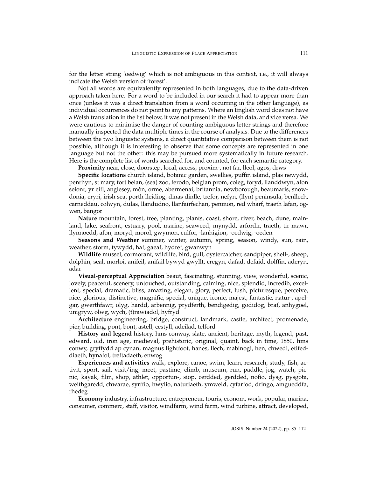for the letter string 'oedwig' which is not ambiguous in this context, i.e., it will always indicate the Welsh version of 'forest'.

Not all words are equivalently represented in both languages, due to the data-driven approach taken here. For a word to be included in our search it had to appear more than once (unless it was a direct translation from a word occurring in the other language), as individual occurrences do not point to any patterns. Where an English word does not have a Welsh translation in the list below, it was not present in the Welsh data, and vice versa. We were cautious to minimise the danger of counting ambiguous letter strings and therefore manually inspected the data multiple times in the course of analysis. Due to the differences between the two linguistic systems, a direct quantitative comparison between them is not possible, although it is interesting to observe that some concepts are represented in one language but not the other: this may be pursued more systematically in future research. Here is the complete list of words searched for, and counted, for each semantic category.

**Proximity** near, close, doorstep, local, access, proxim-, not far, lleol, agos, drws

**Specific locations** church island, botanic garden, swellies, puffin island, plas newydd, penrhyn, st mary, fort belan, (sea) zoo, ferodo, belgian prom, coleg, foryd, llanddwyn, afon seiont, yr eifl, anglesey, môn, orme, abermenai, britannia, newborough, beaumaris, snowdonia, eryri, irish sea, porth lleidiog, dinas dinlle, trefor, nefyn, (llyn) peninsula, benllech, carneddau, colwyn, dulas, llandudno, llanfairfechan, penmon, red wharf, traeth lafan, ogwen, bangor

**Nature** mountain, forest, tree, planting, plants, coast, shore, river, beach, dune, mainland, lake, seafront, estuary, pool, marine, seaweed, mynydd, arfordir, traeth, tir mawr, llynnoedd, afon, moryd, morol, gwymon, culfor, -lanhigion, -oedwig, -oeden

**Seasons and Weather** summer, winter, autumn, spring, season, windy, sun, rain, weather, storm, tywydd, haf, gaeaf, hydref, gwanwyn

**Wildlife** mussel, cormorant, wildlife, bird, gull, oystercatcher, sandpiper, shell-, sheep, dolphin, seal, morloi, anifeil, anifail bywyd gwyllt, cregyn, dafad, defaid, dolffin, aderyn, adar

**Visual-perceptual Appreciation** beaut, fascinating, stunning, view, wonderful, scenic, lovely, peaceful, scenery, untouched, outstanding, calming, nice, splendid, incredib, excellent, special, dramatic, bliss, amazing, elegan, glory, perfect, lush, picturesque, perceive, nice, glorious, distinctive, magnific, special, unique, iconic, majest, fantastic, natur-, apelgar, gwerthfawr, olyg, hardd, arbennig, prydferth, bendigedig, godidog, braf, anhygoel, unigryw, olwg, wych, (t)rawiadol, hyfryd

**Architecture** engineering, bridge, construct, landmark, castle, architect, promenade, pier, building, pont, bont, astell, cestyll, adeilad, telford

**History and legend** history, hms conway, slate, ancient, heritage, myth, legend, past, edward, old, iron age, medieval, prehistoric, original, quaint, back in time, 1850, hms conwy, gryffydd ap cynan, magnus lightfoot, hanes, llech, mabinogi, hen, chwedl, etifeddiaeth, hynafol, treftadaeth, enwog

**Experiences and activities** walk, explore, canoe, swim, learn, research, study, fish, activit, sport, sail, visit/ing, meet, pastime, climb, museum, run, paddle, jog, watch, picnic, kayak, film, shop, athlet, opportun-, siop, cerdded, gerdded, nofio, dysg, pysgota, weithgaredd, chwarae, syrffio, hwylio, naturiaeth, ymweld, cyfarfod, dringo, amgueddfa, rhedeg

**Economy** industry, infrastructure, entrepreneur, touris, econom, work, popular, marina, consumer, commerc, staff, visitor, windfarm, wind farm, wind turbine, attract, developed,